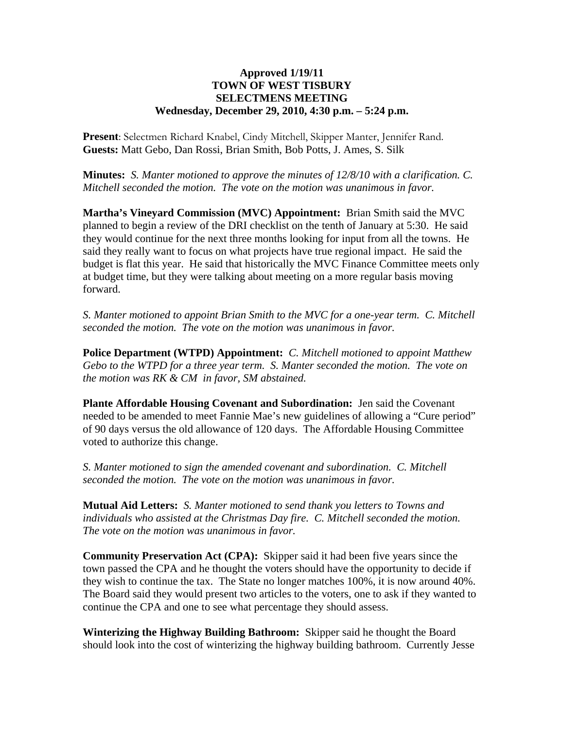## **Approved 1/19/11 TOWN OF WEST TISBURY SELECTMENS MEETING Wednesday, December 29, 2010, 4:30 p.m. – 5:24 p.m.**

**Present**: Selectmen Richard Knabel, Cindy Mitchell, Skipper Manter, Jennifer Rand. **Guests:** Matt Gebo, Dan Rossi, Brian Smith, Bob Potts, J. Ames, S. Silk

**Minutes:** *S. Manter motioned to approve the minutes of 12/8/10 with a clarification. C. Mitchell seconded the motion. The vote on the motion was unanimous in favor.*

**Martha's Vineyard Commission (MVC) Appointment:** Brian Smith said the MVC planned to begin a review of the DRI checklist on the tenth of January at 5:30. He said they would continue for the next three months looking for input from all the towns. He said they really want to focus on what projects have true regional impact. He said the budget is flat this year. He said that historically the MVC Finance Committee meets only at budget time, but they were talking about meeting on a more regular basis moving forward.

*S. Manter motioned to appoint Brian Smith to the MVC for a one-year term. C. Mitchell seconded the motion. The vote on the motion was unanimous in favor.*

**Police Department (WTPD) Appointment:** *C. Mitchell motioned to appoint Matthew Gebo to the WTPD for a three year term. S. Manter seconded the motion. The vote on the motion was RK & CM in favor, SM abstained.*

**Plante Affordable Housing Covenant and Subordination:** Jen said the Covenant needed to be amended to meet Fannie Mae's new guidelines of allowing a "Cure period" of 90 days versus the old allowance of 120 days. The Affordable Housing Committee voted to authorize this change.

*S. Manter motioned to sign the amended covenant and subordination. C. Mitchell seconded the motion. The vote on the motion was unanimous in favor.*

**Mutual Aid Letters:** *S. Manter motioned to send thank you letters to Towns and individuals who assisted at the Christmas Day fire. C. Mitchell seconded the motion. The vote on the motion was unanimous in favor.*

**Community Preservation Act (CPA):** Skipper said it had been five years since the town passed the CPA and he thought the voters should have the opportunity to decide if they wish to continue the tax. The State no longer matches 100%, it is now around 40%. The Board said they would present two articles to the voters, one to ask if they wanted to continue the CPA and one to see what percentage they should assess.

**Winterizing the Highway Building Bathroom:** Skipper said he thought the Board should look into the cost of winterizing the highway building bathroom. Currently Jesse